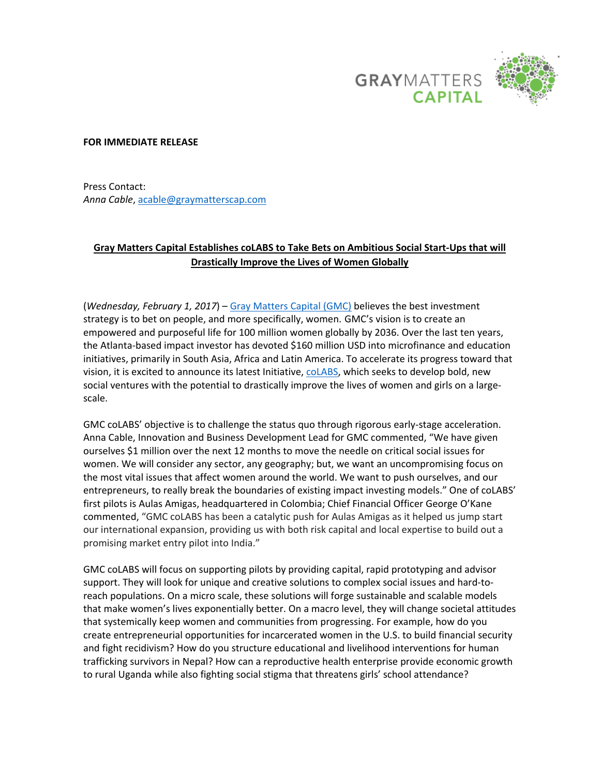

## **FOR IMMEDIATE RELEASE**

Press Contact: *Anna Cable*, [acable@graymatterscap.com](mailto:acable@graymatterscap.com)

## **Gray Matters Capital Establishes coLABS to Take Bets on Ambitious Social Start-Ups that will Drastically Improve the Lives of Women Globally**

(*Wednesday, February 1, 2017*) – [Gray Matters Capital \(GMC\)](http://www.graymatterscap.com/index.html) believes the best investment strategy is to bet on people, and more specifically, women. GMC's vision is to create an empowered and purposeful life for 100 million women globally by 2036. Over the last ten years, the Atlanta-based impact investor has devoted \$160 million USD into microfinance and education initiatives, primarily in South Asia, Africa and Latin America. To accelerate its progress toward that vision, it is excited to announce its latest Initiative, colabs, which seeks to develop bold, new social ventures with the potential to drastically improve the lives of women and girls on a largescale.

GMC coLABS' objective is to challenge the status quo through rigorous early-stage acceleration. Anna Cable, Innovation and Business Development Lead for GMC commented, "We have given ourselves \$1 million over the next 12 months to move the needle on critical social issues for women. We will consider any sector, any geography; but, we want an uncompromising focus on the most vital issues that affect women around the world. We want to push ourselves, and our entrepreneurs, to really break the boundaries of existing impact investing models." One of coLABS' first pilots is Aulas Amigas, headquartered in Colombia; Chief Financial Officer George O'Kane commented, "GMC coLABS has been a catalytic push for Aulas Amigas as it helped us jump start our international expansion, providing us with both risk capital and local expertise to build out a promising market entry pilot into India."

GMC coLABS will focus on supporting pilots by providing capital, rapid prototyping and advisor support. They will look for unique and creative solutions to complex social issues and hard-toreach populations. On a micro scale, these solutions will forge sustainable and scalable models that make women's lives exponentially better. On a macro level, they will change societal attitudes that systemically keep women and communities from progressing. For example, how do you create entrepreneurial opportunities for incarcerated women in the U.S. to build financial security and fight recidivism? How do you structure educational and livelihood interventions for human trafficking survivors in Nepal? How can a reproductive health enterprise provide economic growth to rural Uganda while also fighting social stigma that threatens girls' school attendance?